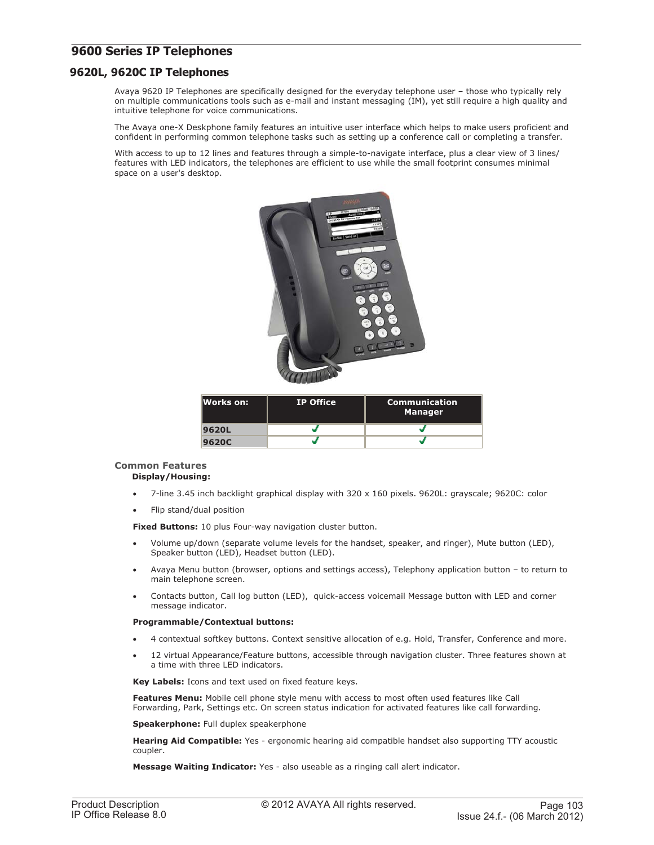# **9600 Series IP Telephones**

## **9620L, 9620C IP Telephones**

Avaya 9620 IP Telephones are specifically designed for the everyday telephone user – those who typically rely on multiple communications tools such as e-mail and instant messaging (IM), yet still require a high quality and intuitive telephone for voice communications.

The Avaya one-X Deskphone family features an intuitive user interface which helps to make users proficient and confident in performing common telephone tasks such as setting up a conference call or completing a transfer.

With access to up to 12 lines and features through a simple-to-navigate interface, plus a clear view of 3 lines/ features with LED indicators, the telephones are efficient to use while the small footprint consumes minimal space on a user's desktop.



| lWorks on: | <b>IP Office</b> | <b>Communication</b><br><b>Manager</b> |
|------------|------------------|----------------------------------------|
| 9620L      |                  |                                        |
| 9620C      |                  |                                        |

## **Common Features Display/Housing:**

- 7-line 3.45 inch backlight graphical display with 320 x 160 pixels. 9620L: grayscale; 9620C: color
- Flip stand/dual position

**Fixed Buttons:** 10 plus Four-way navigation cluster button.

- Volume up/down (separate volume levels for the handset, speaker, and ringer), Mute button (LED), Speaker button (LED), Headset button (LED).
- Avaya Menu button (browser, options and settings access), Telephony application button to return to main telephone screen.
- Contacts button, Call log button (LED), quick-access voicemail Message button with LED and corner message indicator.

## **Programmable/Contextual buttons:**

- 4 contextual softkey buttons. Context sensitive allocation of e.g. Hold, Transfer, Conference and more.
- 12 virtual Appearance/Feature buttons, accessible through navigation cluster. Three features shown at a time with three LED indicators.

**Key Labels:** Icons and text used on fixed feature keys.

**Features Menu:** Mobile cell phone style menu with access to most often used features like Call Forwarding, Park, Settings etc. On screen status indication for activated features like call forwarding.

**Speakerphone:** Full duplex speakerphone

**Hearing Aid Compatible:** Yes - ergonomic hearing aid compatible handset also supporting TTY acoustic coupler.

**Message Waiting Indicator:** Yes - also useable as a ringing call alert indicator.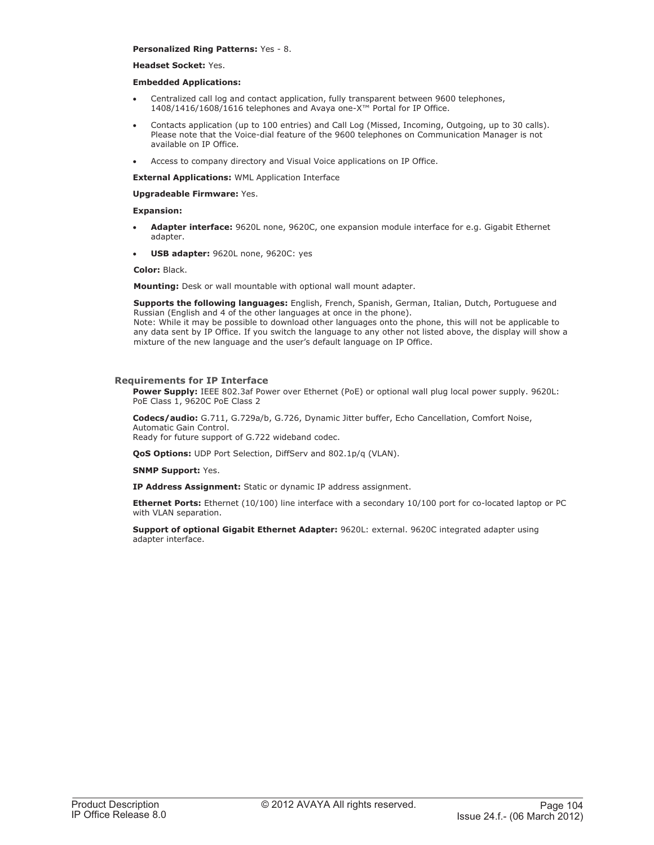### **Personalized Ring Patterns:** Yes - 8.

### **Headset Socket:** Yes.

### **Embedded Applications:**

- Centralized call log and contact application, fully transparent between 9600 telephones, 1408/1416/1608/1616 telephones and Avaya one-X™ Portal for IP Office.
- Contacts application (up to 100 entries) and Call Log (Missed, Incoming, Outgoing, up to 30 calls). Please note that the Voice-dial feature of the 9600 telephones on Communication Manager is not available on IP Office.
- Access to company directory and Visual Voice applications on IP Office.

**External Applications:** WML Application Interface

### **Upgradeable Firmware:** Yes.

### **Expansion:**

- **Adapter interface:** 9620L none, 9620C, one expansion module interface for e.g. Gigabit Ethernet adapter.
- **USB adapter:** 9620L none, 9620C: yes

### **Color:** Black.

**Mounting:** Desk or wall mountable with optional wall mount adapter.

**Supports the following languages:** English, French, Spanish, German, Italian, Dutch, Portuguese and Russian (English and 4 of the other languages at once in the phone).

Note: While it may be possible to download other languages onto the phone, this will not be applicable to any data sent by IP Office. If you switch the language to any other not listed above, the display will show a mixture of the new language and the user's default language on IP Office.

### **Requirements for IP Interface**

**Power Supply:** IEEE 802.3af Power over Ethernet (PoE) or optional wall plug local power supply. 9620L: PoE Class 1, 9620C PoE Class 2

**Codecs/audio:** G.711, G.729a/b, G.726, Dynamic Jitter buffer, Echo Cancellation, Comfort Noise, Automatic Gain Control. Ready for future support of G.722 wideband codec.

**QoS Options:** UDP Port Selection, DiffServ and 802.1p/q (VLAN).

**SNMP Support:** Yes.

**IP Address Assignment:** Static or dynamic IP address assignment.

**Ethernet Ports:** Ethernet (10/100) line interface with a secondary 10/100 port for co-located laptop or PC with VLAN separation.

**Support of optional Gigabit Ethernet Adapter:** 9620L: external. 9620C integrated adapter using adapter interface.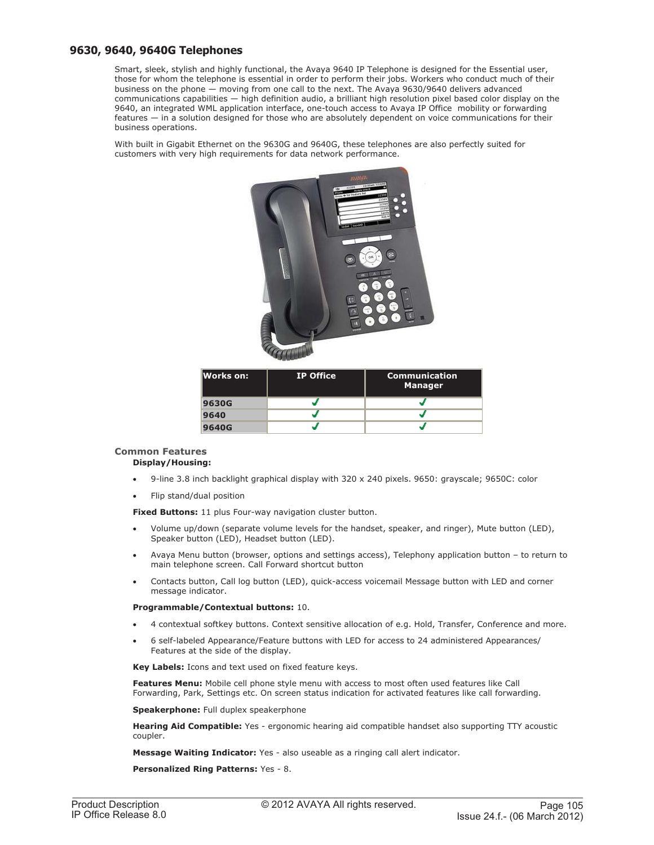## **9630, 9640, 9640G Telephones**

Smart, sleek, stylish and highly functional, the Avaya 9640 IP Telephone is designed for the Essential user, those for whom the telephone is essential in order to perform their jobs. Workers who conduct much of their business on the phone — moving from one call to the next. The Avaya 9630/9640 delivers advanced communications capabilities — high definition audio, a brilliant high resolution pixel based color display on the 9640, an integrated WML application interface, one-touch access to Avaya IP Office mobility or forwarding features — in a solution designed for those who are absolutely dependent on voice communications for their business operations.

With built in Gigabit Ethernet on the 9630G and 9640G, these telephones are also perfectly suited for customers with very high requirements for data network performance.



| lWorks on: | <b>IP Office</b> | <b>Communication</b><br><b>Manager</b> |
|------------|------------------|----------------------------------------|
| 9630G      |                  |                                        |
| 9640       |                  |                                        |
| 9640G      |                  |                                        |

# **Common Features**

## **Display/Housing:**

- 9-line 3.8 inch backlight graphical display with 320 x 240 pixels. 9650: grayscale; 9650C: color
- Flip stand/dual position

**Fixed Buttons:** 11 plus Four-way navigation cluster button.

- Volume up/down (separate volume levels for the handset, speaker, and ringer), Mute button (LED), Speaker button (LED), Headset button (LED).
- Avaya Menu button (browser, options and settings access), Telephony application button to return to main telephone screen. Call Forward shortcut button
- Contacts button, Call log button (LED), quick-access voicemail Message button with LED and corner message indicator.

## **Programmable/Contextual buttons:** 10.

- 4 contextual softkey buttons. Context sensitive allocation of e.g. Hold, Transfer, Conference and more.
- 6 self-labeled Appearance/Feature buttons with LED for access to 24 administered Appearances/ Features at the side of the display.

**Key Labels:** Icons and text used on fixed feature keys.

**Features Menu:** Mobile cell phone style menu with access to most often used features like Call Forwarding, Park, Settings etc. On screen status indication for activated features like call forwarding.

**Speakerphone:** Full duplex speakerphone

**Hearing Aid Compatible:** Yes - ergonomic hearing aid compatible handset also supporting TTY acoustic coupler.

**Message Waiting Indicator:** Yes - also useable as a ringing call alert indicator.

**Personalized Ring Patterns:** Yes - 8.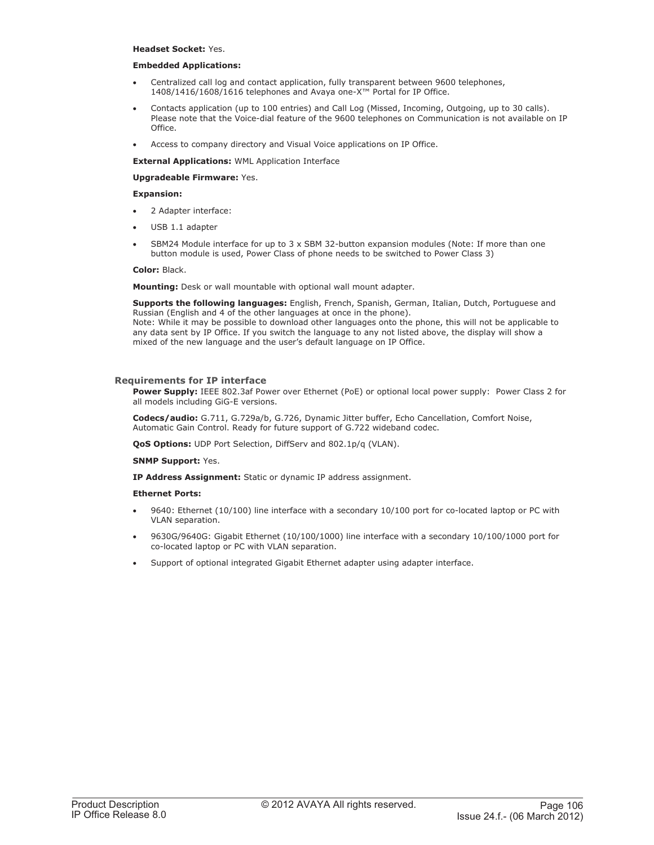### **Headset Socket:** Yes.

### **Embedded Applications:**

- Centralized call log and contact application, fully transparent between 9600 telephones, 1408/1416/1608/1616 telephones and Avaya one-X™ Portal for IP Office.
- Contacts application (up to 100 entries) and Call Log (Missed, Incoming, Outgoing, up to 30 calls). Please note that the Voice-dial feature of the 9600 telephones on Communication is not available on IP Office.
- Access to company directory and Visual Voice applications on IP Office.

**External Applications:** WML Application Interface

### **Upgradeable Firmware:** Yes.

### **Expansion:**

- 2 Adapter interface:
- USB 1.1 adapter
- SBM24 Module interface for up to  $3 \times$  SBM 32-button expansion modules (Note: If more than one button module is used, Power Class of phone needs to be switched to Power Class 3)

### **Color:** Black.

**Mounting:** Desk or wall mountable with optional wall mount adapter.

**Supports the following languages:** English, French, Spanish, German, Italian, Dutch, Portuguese and Russian (English and 4 of the other languages at once in the phone). Note: While it may be possible to download other languages onto the phone, this will not be applicable to any data sent by IP Office. If you switch the language to any not listed above, the display will show a mixed of the new language and the user's default language on IP Office.

## **Requirements for IP interface**

Power Supply: IEEE 802.3af Power over Ethernet (PoE) or optional local power supply: Power Class 2 for all models including GiG-E versions.

**Codecs/audio:** G.711, G.729a/b, G.726, Dynamic Jitter buffer, Echo Cancellation, Comfort Noise, Automatic Gain Control. Ready for future support of G.722 wideband codec.

**QoS Options:** UDP Port Selection, DiffServ and 802.1p/q (VLAN).

### **SNMP Support:** Yes.

**IP Address Assignment:** Static or dynamic IP address assignment.

### **Ethernet Ports:**

- 9640: Ethernet (10/100) line interface with a secondary 10/100 port for co-located laptop or PC with VLAN separation.
- 9630G/9640G: Gigabit Ethernet (10/100/1000) line interface with a secondary 10/100/1000 port for co-located laptop or PC with VLAN separation.
- Support of optional integrated Gigabit Ethernet adapter using adapter interface.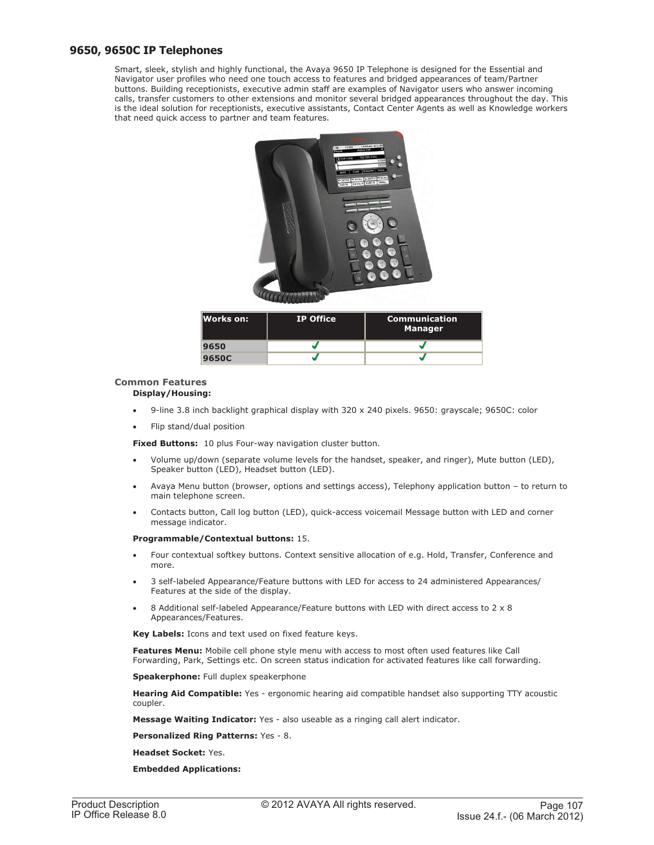## **9650, 9650C IP Telephones**

Smart, sleek, stylish and highly functional, the Avaya 9650 IP Telephone is designed for the Essential and Navigator user profiles who need one touch access to features and bridged appearances of team/Partner buttons. Building receptionists, executive admin staff are examples of Navigator users who answer incoming calls, transfer customers to other extensions and monitor several bridged appearances throughout the day. This is the ideal solution for receptionists, executive assistants, Contact Center Agents as well as Knowledge workers that need quick access to partner and team features.



## **Common Features**

## **Display/Housing:**

- 9-line 3.8 inch backlight graphical display with 320 x 240 pixels. 9650: grayscale; 9650C: color
- Flip stand/dual position

**Fixed Buttons:** 10 plus Four-way navigation cluster button.

- Volume up/down (separate volume levels for the handset, speaker, and ringer), Mute button (LED), Speaker button (LED), Headset button (LED).
- Avaya Menu button (browser, options and settings access), Telephony application button to return to main telephone screen.
- Contacts button, Call log button (LED), quick-access voicemail Message button with LED and corner message indicator.

### **Programmable/Contextual buttons:** 15.

- Four contextual softkey buttons. Context sensitive allocation of e.g. Hold, Transfer, Conference and more.
- 3 self-labeled Appearance/Feature buttons with LED for access to 24 administered Appearances/ Features at the side of the display.
- 8 Additional self-labeled Appearance/Feature buttons with LED with direct access to 2 x 8 Appearances/Features.

**Key Labels:** Icons and text used on fixed feature keys.

**Features Menu:** Mobile cell phone style menu with access to most often used features like Call Forwarding, Park, Settings etc. On screen status indication for activated features like call forwarding.

**Speakerphone:** Full duplex speakerphone

**Hearing Aid Compatible:** Yes - ergonomic hearing aid compatible handset also supporting TTY acoustic coupler.

**Message Waiting Indicator:** Yes - also useable as a ringing call alert indicator.

### **Personalized Ring Patterns:** Yes - 8.

**Headset Socket:** Yes.

### **Embedded Applications:**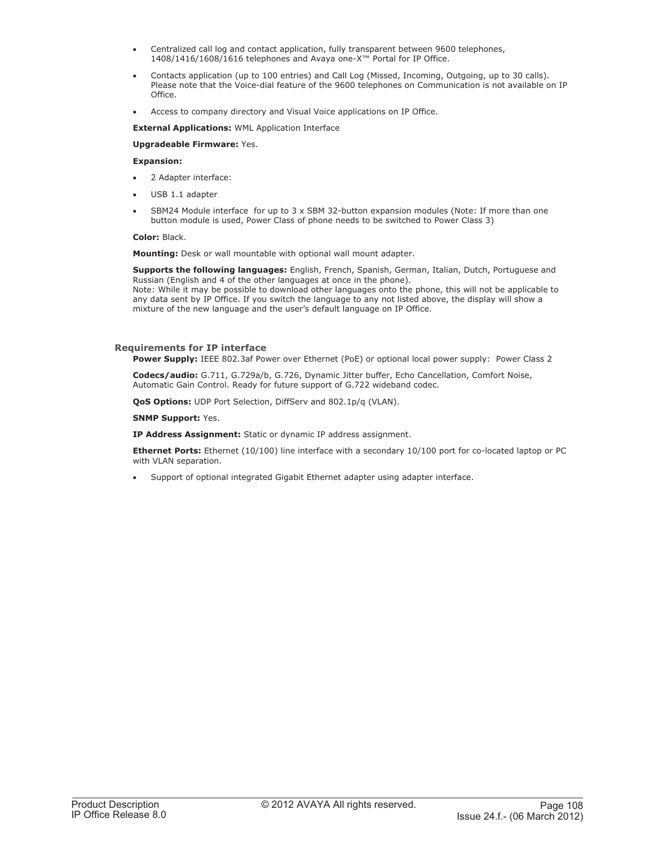- Centralized call log and contact application, fully transparent between 9600 telephones, 1408/1416/1608/1616 telephones and Avaya one-X™ Portal for IP Office.
- Contacts application (up to 100 entries) and Call Log (Missed, Incoming, Outgoing, up to 30 calls). Please note that the Voice-dial feature of the 9600 telephones on Communication is not available on IP Office.
- Access to company directory and Visual Voice applications on IP Office.

**External Applications:** WML Application Interface

**Upgradeable Firmware:** Yes.

### **Expansion:**

- 2 Adapter interface:
- USB 1.1 adapter
- SBM24 Module interface for up to  $3 \times$  SBM 32-button expansion modules (Note: If more than one button module is used, Power Class of phone needs to be switched to Power Class 3)

### **Color:** Black.

**Mounting:** Desk or wall mountable with optional wall mount adapter.

**Supports the following languages:** English, French, Spanish, German, Italian, Dutch, Portuguese and Russian (English and 4 of the other languages at once in the phone).

Note: While it may be possible to download other languages onto the phone, this will not be applicable to any data sent by IP Office. If you switch the language to any not listed above, the display will show a mixture of the new language and the user's default language on IP Office.

## **Requirements for IP interface**

**Power Supply:** IEEE 802.3af Power over Ethernet (PoE) or optional local power supply: Power Class 2

**Codecs/audio:** G.711, G.729a/b, G.726, Dynamic Jitter buffer, Echo Cancellation, Comfort Noise, Automatic Gain Control. Ready for future support of G.722 wideband codec.

**QoS Options:** UDP Port Selection, DiffServ and 802.1p/q (VLAN).

**SNMP Support:** Yes.

**IP Address Assignment:** Static or dynamic IP address assignment.

**Ethernet Ports:** Ethernet (10/100) line interface with a secondary 10/100 port for co-located laptop or PC with VLAN separation.

• Support of optional integrated Gigabit Ethernet adapter using adapter interface.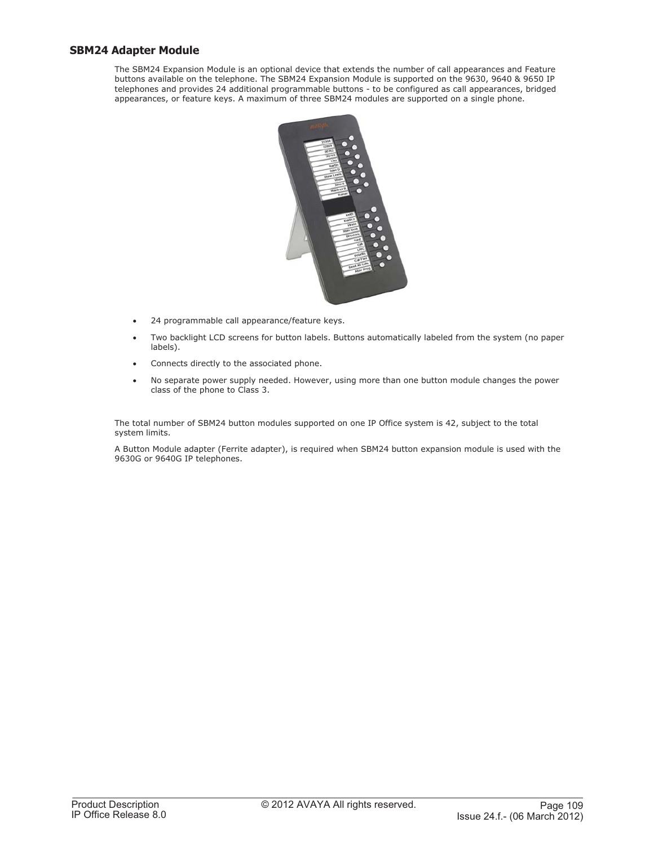# **SBM24 Adapter Module**

The SBM24 Expansion Module is an optional device that extends the number of call appearances and Feature buttons available on the telephone. The SBM24 Expansion Module is supported on the 9630, 9640 & 9650 IP telephones and provides 24 additional programmable buttons - to be configured as call appearances, bridged appearances, or feature keys. A maximum of three SBM24 modules are supported on a single phone.



- 24 programmable call appearance/feature keys.
- Two backlight LCD screens for button labels. Buttons automatically labeled from the system (no paper labels).
- Connects directly to the associated phone.
- No separate power supply needed. However, using more than one button module changes the power class of the phone to Class 3.

The total number of SBM24 button modules supported on one IP Office system is 42, subject to the total system limits.

A Button Module adapter (Ferrite adapter), is required when SBM24 button expansion module is used with the 9630G or 9640G IP telephones.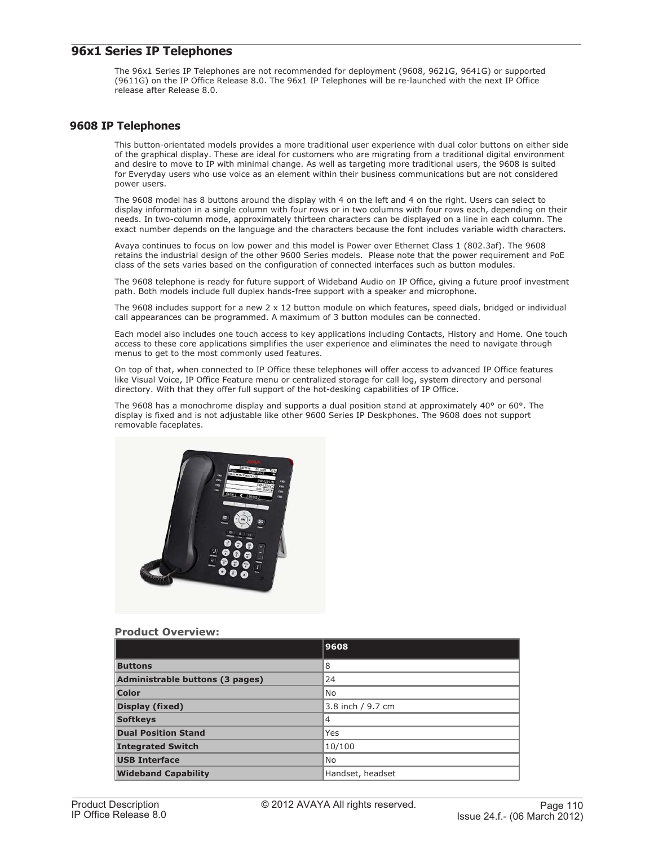# **96x1 Series IP Telephones**

The 96x1 Series IP Telephones are not recommended for deployment (9608, 9621G, 9641G) or supported (9611G) on the IP Office Release 8.0. The 96x1 IP Telephones will be re-launched with the next IP Office release after Release 8.0.

## **9608 IP Telephones**

This button-orientated models provides a more traditional user experience with dual color buttons on either side of the graphical display. These are ideal for customers who are migrating from a traditional digital environment and desire to move to IP with minimal change. As well as targeting more traditional users, the 9608 is suited for Everyday users who use voice as an element within their business communications but are not considered power users.

The 9608 model has 8 buttons around the display with 4 on the left and 4 on the right. Users can select to display information in a single column with four rows or in two columns with four rows each, depending on their needs. In two-column mode, approximately thirteen characters can be displayed on a line in each column. The exact number depends on the language and the characters because the font includes variable width characters.

Avaya continues to focus on low power and this model is Power over Ethernet Class 1 (802.3af). The 9608 retains the industrial design of the other 9600 Series models. Please note that the power requirement and PoE class of the sets varies based on the configuration of connected interfaces such as button modules.

The 9608 telephone is ready for future support of Wideband Audio on IP Office, giving a future proof investment path. Both models include full duplex hands-free support with a speaker and microphone.

The 9608 includes support for a new 2 x 12 button module on which features, speed dials, bridged or individual call appearances can be programmed. A maximum of 3 button modules can be connected.

Each model also includes one touch access to key applications including Contacts, History and Home. One touch access to these core applications simplifies the user experience and eliminates the need to navigate through menus to get to the most commonly used features.

On top of that, when connected to IP Office these telephones will offer access to advanced IP Office features like Visual Voice, IP Office Feature menu or centralized storage for call log, system directory and personal directory. With that they offer full support of the hot-desking capabilities of IP Office.

The 9608 has a monochrome display and supports a dual position stand at approximately 40° or 60°. The display is fixed and is not adjustable like other 9600 Series IP Deskphones. The 9608 does not support removable faceplates.



## **Product Overview:**

|                                        | 9608              |
|----------------------------------------|-------------------|
| <b>Buttons</b>                         | 8                 |
| <b>Administrable buttons (3 pages)</b> | 24                |
| Color                                  | No                |
| Display (fixed)                        | 3.8 inch / 9.7 cm |
| <b>Softkeys</b>                        | $\overline{4}$    |
| <b>Dual Position Stand</b>             | Yes               |
| <b>Integrated Switch</b>               | 10/100            |
| <b>USB Interface</b>                   | No                |
| <b>Wideband Capability</b>             | Handset, headset  |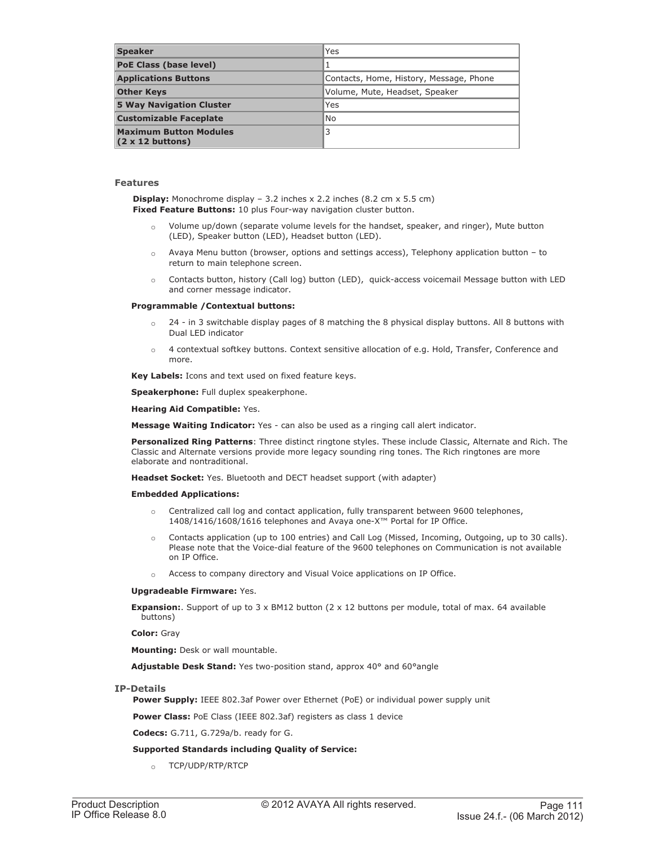| <b>Speaker</b>                                            | Yes                                     |
|-----------------------------------------------------------|-----------------------------------------|
| <b>PoE Class (base level)</b>                             |                                         |
| <b>Applications Buttons</b>                               | Contacts, Home, History, Message, Phone |
| <b>Other Keys</b>                                         | Volume, Mute, Headset, Speaker          |
| <b>5 Way Navigation Cluster</b>                           | Yes                                     |
| <b>Customizable Faceplate</b>                             | No                                      |
| <b>Maximum Button Modules</b><br>$(2 \times 12)$ buttons) | 3                                       |

## **Features**

**Display:** Monochrome display - 3.2 inches x 2.2 inches (8.2 cm x 5.5 cm) **Fixed Feature Buttons:** 10 plus Four-way navigation cluster button.

- $\circ$  Volume up/down (separate volume levels for the handset, speaker, and ringer), Mute button (LED), Speaker button (LED), Headset button (LED).
- $\circ$  Avaya Menu button (browser, options and settings access), Telephony application button to return to main telephone screen.
- o Contacts button, history (Call log) button (LED), quick-access voicemail Message button with LED and corner message indicator.

### **Programmable /Contextual buttons:**

- $\circ$  24 in 3 switchable display pages of 8 matching the 8 physical display buttons. All 8 buttons with Dual LED indicator
- $\circ$  4 contextual softkey buttons. Context sensitive allocation of e.g. Hold, Transfer, Conference and more.

**Key Labels:** Icons and text used on fixed feature keys.

**Speakerphone:** Full duplex speakerphone.

**Hearing Aid Compatible:** Yes.

**Message Waiting Indicator:** Yes - can also be used as a ringing call alert indicator.

**Personalized Ring Patterns**: Three distinct ringtone styles. These include Classic, Alternate and Rich. The Classic and Alternate versions provide more legacy sounding ring tones. The Rich ringtones are more elaborate and nontraditional.

**Headset Socket:** Yes. Bluetooth and DECT headset support (with adapter)

### **Embedded Applications:**

- $\circ$  Centralized call log and contact application, fully transparent between 9600 telephones, 1408/1416/1608/1616 telephones and Avaya one-X™ Portal for IP Office.
- Contacts application (up to 100 entries) and Call Log (Missed, Incoming, Outgoing, up to 30 calls). Please note that the Voice-dial feature of the 9600 telephones on Communication is not available on IP Office.
- Access to company directory and Visual Voice applications on IP Office.

### **Upgradeable Firmware:** Yes.

**Expansion:**. Support of up to 3 x BM12 button (2 x 12 buttons per module, total of max. 64 available buttons)

**Color:** Gray

**Mounting:** Desk or wall mountable.

**Adjustable Desk Stand:** Yes two-position stand, approx 40° and 60°angle

## **IP-Details**

**Power Supply:** IEEE 802.3af Power over Ethernet (PoE) or individual power supply unit

**Power Class:** PoE Class (IEEE 802.3af) registers as class 1 device

**Codecs:** G.711, G.729a/b. ready for G.

## **Supported Standards including Quality of Service:**

o TCP/UDP/RTP/RTCP